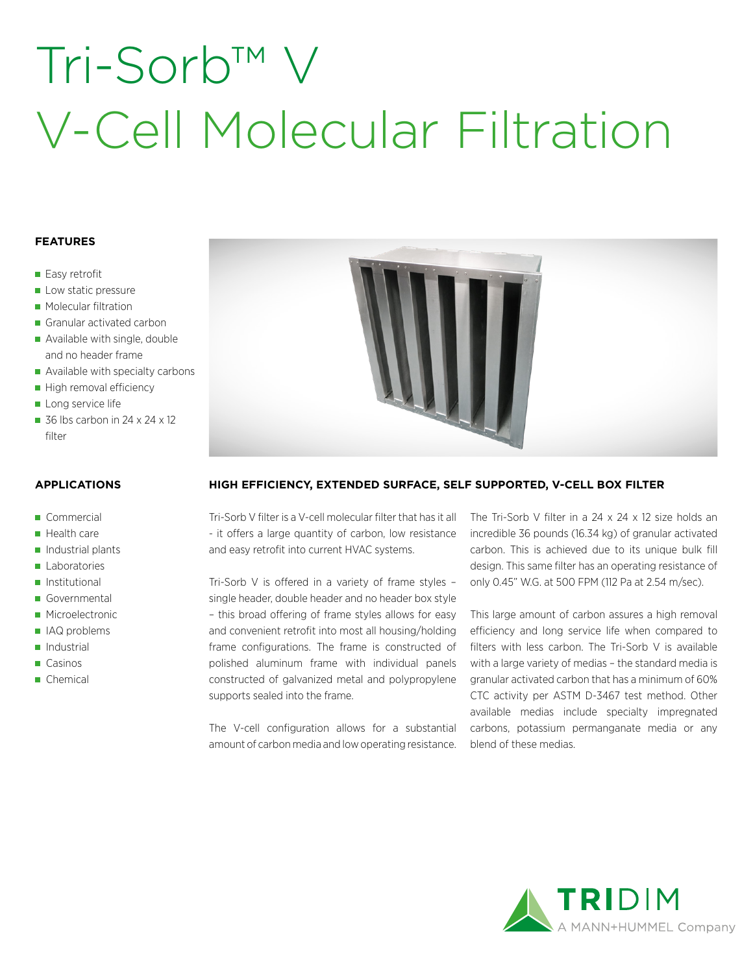## Tri-Sorb™ ' V-Cell Molecular Filtration

#### **FEATURES**

- Easy retrofit
- Low static pressure
- **Molecular filtration**
- Granular activated carbon
- Available with single, double and no header frame
- Available with specialty carbons
- High removal efficiency
- Long service life
- 36 lbs carbon in 24  $\times$  24  $\times$  12 filter

#### **APPLICATIONS**

- Commercial
- $H$ ealth care
- $\blacksquare$  Industrial plants
- **Laboratories**
- **Institutional**
- Governmental
- **Microelectronic**
- IAQ problems
- Industrial
- Casinos
- Chemical



### **HIGH EFFICIENCY, EXTENDED SURFACE, SELF SUPPORTED, V-CELL BOX FILTER**

Tri-Sorb V filter is a V-cell molecular filter that has it all - it offers a large quantity of carbon, low resistance and easy retrofit into current HVAC systems.

Tri-Sorb V is offered in a variety of frame styles – single header, double header and no header box style – this broad offering of frame styles allows for easy and convenient retrofit into most all housing/holding frame configurations. The frame is constructed of polished aluminum frame with individual panels constructed of galvanized metal and polypropylene supports sealed into the frame.

The V-cell configuration allows for a substantial amount of carbon media and low operating resistance. The Tri-Sorb V filter in a 24 x 24 x 12 size holds an incredible 36 pounds (16.34 kg) of granular activated carbon. This is achieved due to its unique bulk fill design. This same filter has an operating resistance of only 0.45" W.G. at 500 FPM (112 Pa at 2.54 m/sec).

This large amount of carbon assures a high removal efficiency and long service life when compared to filters with less carbon. The Tri-Sorb V is available with a large variety of medias – the standard media is granular activated carbon that has a minimum of 60% CTC activity per ASTM D-3467 test method. Other available medias include specialty impregnated carbons, potassium permanganate media or any blend of these medias.